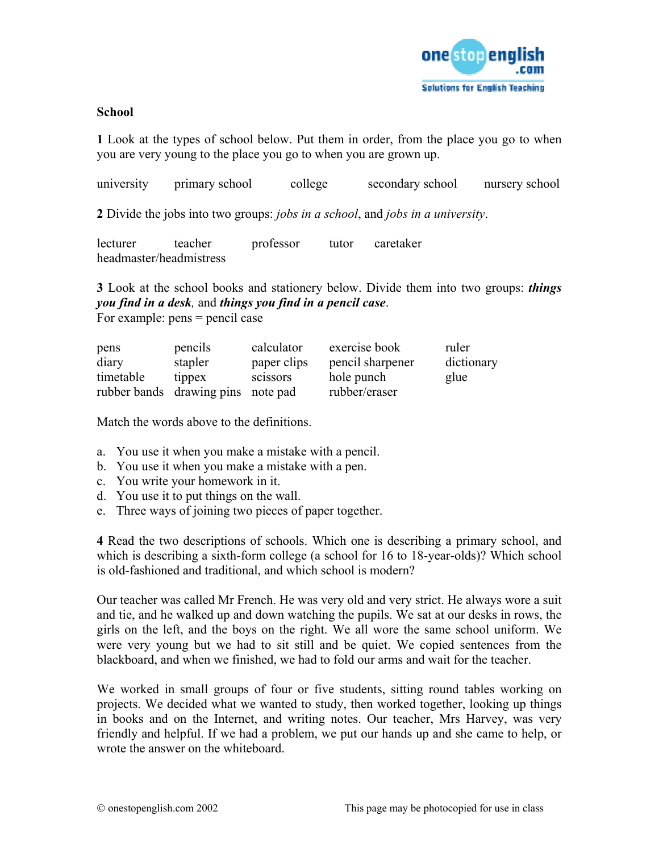

## **School**

**1** Look at the types of school below. Put them in order, from the place you go to when you are very young to the place you go to when you are grown up.

| university | primary school | college | secondary school | nursery school |
|------------|----------------|---------|------------------|----------------|
|            |                |         |                  |                |

**2** Divide the jobs into two groups: *jobs in a school*, and *jobs in a university*.

| lecturer                | teacher | professor | tutor | caretaker |
|-------------------------|---------|-----------|-------|-----------|
| headmaster/headmistress |         |           |       |           |

**3** Look at the school books and stationery below. Divide them into two groups: *things you find in a desk,* and *things you find in a pencil case*. For example: pens = pencil case

| pens      | pencils                            | calculator      | exercise book    | ruler      |
|-----------|------------------------------------|-----------------|------------------|------------|
| diary     | stapler                            | paper clips     | pencil sharpener | dictionary |
| timetable | tippex                             | <b>SCISSOTS</b> | hole punch       | glue       |
|           | rubber bands drawing pins note pad |                 | rubber/eraser    |            |

Match the words above to the definitions.

- a. You use it when you make a mistake with a pencil.
- b. You use it when you make a mistake with a pen.
- c. You write your homework in it.
- d. You use it to put things on the wall.
- e. Three ways of joining two pieces of paper together.

**4** Read the two descriptions of schools. Which one is describing a primary school, and which is describing a sixth-form college (a school for 16 to 18-year-olds)? Which school is old-fashioned and traditional, and which school is modern?

Our teacher was called Mr French. He was very old and very strict. He always wore a suit and tie, and he walked up and down watching the pupils. We sat at our desks in rows, the girls on the left, and the boys on the right. We all wore the same school uniform. We were very young but we had to sit still and be quiet. We copied sentences from the blackboard, and when we finished, we had to fold our arms and wait for the teacher.

We worked in small groups of four or five students, sitting round tables working on projects. We decided what we wanted to study, then worked together, looking up things in books and on the Internet, and writing notes. Our teacher, Mrs Harvey, was very friendly and helpful. If we had a problem, we put our hands up and she came to help, or wrote the answer on the whiteboard.